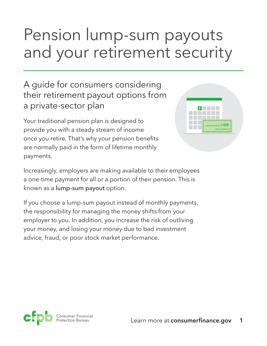# Pension lump-sum payouts and your retirement security

### A guide for consumers considering their retirement payout options from a private-sector plan

Your traditional pension plan is designed to provide you with a steady stream of income once you retire. That's why your pension benefits are normally paid in the form of lifetime monthly payments.

| $ \hat{\mathbf{s}} $ |  |
|----------------------|--|
|                      |  |
|                      |  |

Increasingly, employers are making available to their employees a one-time payment for all or a portion of their pension. This is known as a lump-sum payout option.

If you choose a lump-sum payout instead of monthly payments, the responsibility for managing the money shifts from your employer to you. In addition, you increase the risk of outliving your money, and losing your money due to bad investment advice, fraud, or poor stock market performance.

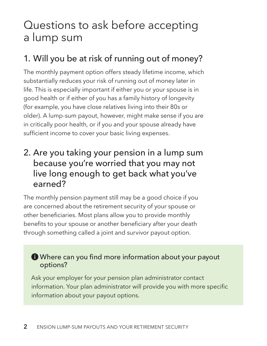## Questions to ask before accepting a lump sum

## 1. Will you be at risk of running out of money?

The monthly payment option offers steady lifetime income, which substantially reduces your risk of running out of money later in life. This is especially important if either you or your spouse is in good health or if either of you has a family history of longevity (for example, you have close relatives living into their 80s or older). A lump-sum payout, however, might make sense if you are in critically poor health, or if you and your spouse already have sufficient income to cover your basic living expenses.

### 2. Are you taking your pension in a lump sum because you're worried that you may not live long enough to get back what you've earned?

The monthly pension payment still may be a good choice if you are concerned about the retirement security of your spouse or other beneficiaries. Most plans allow you to provide monthly benefits to your spouse or another beneficiary after your death through something called a joint and survivor payout option.

#### Where can you find more information about your payout options?

Ask your employer for your pension plan administrator contact information. Your plan administrator will provide you with more specific information about your payout options.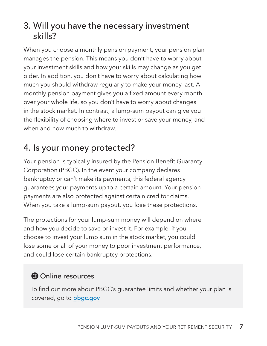## 3. Will you have the necessary investment skills?

When you choose a monthly pension payment, your pension plan manages the pension. This means you don't have to worry about your investment skills and how your skills may change as you get older. In addition, you don't have to worry about calculating how much you should withdraw regularly to make your money last. A monthly pension payment gives you a fixed amount every month over your whole life, so you don't have to worry about changes in the stock market. In contrast, a lump-sum payout can give you the flexibility of choosing where to invest or save your money, and when and how much to withdraw.

## 4. Is your money protected?

Your pension is typically insured by the Pension Benefit Guaranty Corporation (PBGC). In the event your company declares bankruptcy or can't make its payments, this federal agency guarantees your payments up to a certain amount. Your pension payments are also protected against certain creditor claims. When you take a lump-sum payout, you lose these protections.

The protections for your lump-sum money will depend on where and how you decide to save or invest it. For example, if you choose to invest your lump sum in the stock market, you could lose some or all of your money to poor investment performance, and could lose certain bankruptcy protections.

### $\bigoplus$  Online resources

To find out more about PBGC's guarantee limits and whether your plan is covered, go to [pbgc.gov](http://www.pbgc.gov/)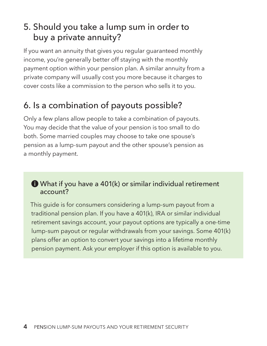## 5. Should you take a lump sum in order to buy a private annuity?

If you want an annuity that gives you regular guaranteed monthly income, you're generally better off staying with the monthly payment option within your pension plan. A similar annuity from a private company will usually cost you more because it charges to cover costs like a commission to the person who sells it to you.

## 6. Is a combination of payouts possible?

Only a few plans allow people to take a combination of payouts. You may decide that the value of your pension is too small to do both. Some married couples may choose to take one spouse's pension as a lump-sum payout and the other spouse's pension as a monthly payment.

#### What if you have a 401(k) or similar individual retirement account?

This guide is for consumers considering a lump-sum payout from a traditional pension plan. If you have a 401(k), IRA or similar individual retirement savings account, your payout options are typically a one-time lump-sum payout or regular withdrawals from your savings. Some 401(k) plans offer an option to convert your savings into a lifetime monthly pension payment. Ask your employer if this option is available to you.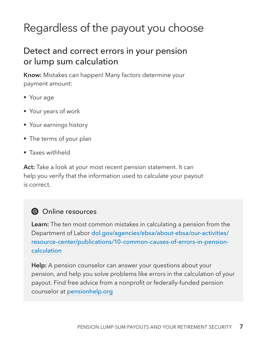## Regardless of the payout you choose

### Detect and correct errors in your pension or lump sum calculation

**Know:** Mistakes can happen! Many factors determine your payment amount:

- Your age
- § Your years of work
- Your earnings history
- The terms of your plan
- § Taxes withheld

**Act:** Take a look at your most recent pension statement. It can help you verify that the information used to calculate your payout is correct.

#### $\bigoplus$  Online resources

**Learn:** The ten most common mistakes in calculating a pension from the Department of Labor [dol.gov/agencies/ebsa/about-ebsa/our-activities/](https://www.dol.gov/agencies/ebsa/about-ebsa/our-activities/resource-center/publications/10-common-causes-of-errors-in-pension-calculation) [resource-center/publications/10-common-causes-of-errors-in-pension](https://www.dol.gov/agencies/ebsa/about-ebsa/our-activities/resource-center/publications/10-common-causes-of-errors-in-pension-calculation)[calculation](https://www.dol.gov/agencies/ebsa/about-ebsa/our-activities/resource-center/publications/10-common-causes-of-errors-in-pension-calculation)

**Help:** A pension counselor can answer your questions about your pension, and help you solve problems like errors in the calculation of your payout. Find free advice from a nonprofit or federally-funded pension counselor at [pensionhelp.org](https://pensionhelp.org/)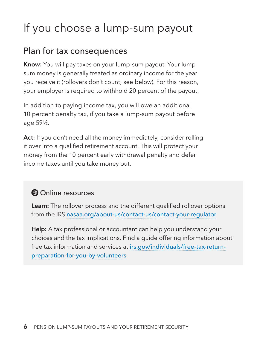## If you choose a lump-sum payout

### Plan for tax consequences

**Know:** You will pay taxes on your lump-sum payout. Your lump sum money is generally treated as ordinary income for the year you receive it (rollovers don't count; see below). For this reason, your employer is required to withhold 20 percent of the payout.

In addition to paying income tax, you will owe an additional 10 percent penalty tax, if you take a lump-sum payout before age 59½.

Act: If you don't need all the money immediately, consider rolling it over into a qualified retirement account. This will protect your money from the 10 percent early withdrawal penalty and defer income taxes until you take money out.

### $\bigoplus$  Online resources

**Learn:** The rollover process and the different qualified rollover options from the IRS [nasaa.org/about-us/contact-us/contact-your-regulator](http://www.nasaa.org/about-us/contact-us/contact-your-regulator/)

**Help:** A tax professional or accountant can help you understand your choices and the tax implications. Find a guide offering information about free tax information and services at [irs.gov/individuals/free-tax-return](https://www.irs.gov/individuals/free-tax-return-preparation-for-you-by-volunteers)[preparation-for-you-by-volunteers](https://www.irs.gov/individuals/free-tax-return-preparation-for-you-by-volunteers)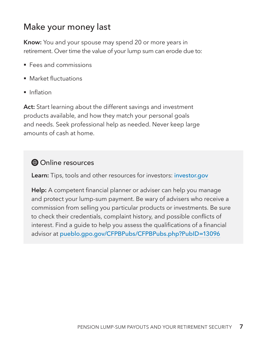### Make your money last

**Know:** You and your spouse may spend 20 or more years in retirement. Over time the value of your lump sum can erode due to:

- Fees and commissions
- § Market fluctuations
- Inflation

**Act:** Start learning about the different savings and investment products available, and how they match your personal goals and needs. Seek professional help as needed. Never keep large amounts of cash at home.

### **Online resources**

**Learn:** Tips, tools and other resources for investors: **[investor.gov](http://investor.gov/)** 

**Help:** A competent financial planner or adviser can help you manage and protect your lump-sum payment. Be wary of advisers who receive a commission from selling you particular products or investments. Be sure to check their credentials, complaint history, and possible conflicts of interest. Find a guide to help you assess the qualifications of a financial advisor at [pueblo.gpo.gov/CFPBPubs/CFPBPubs.php?PubID=13096](https://pueblo.gpo.gov/CFPBPubs/CFPBPubs.php?PubID=13096)